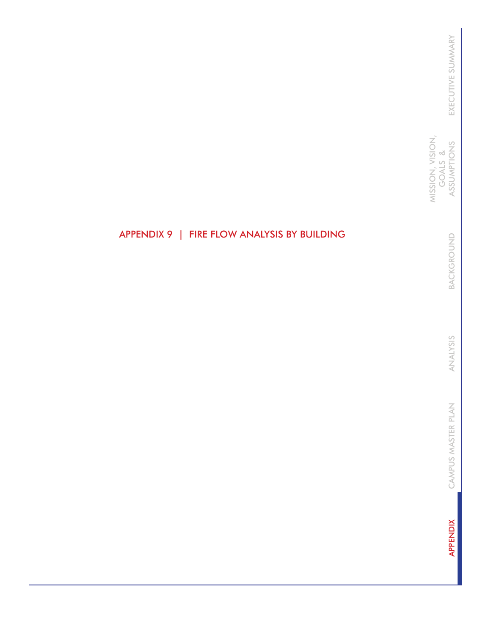MISSION, VISION,<br>GOALS &<br>ASSUMPTIONS MISSION, VISION, ASSUMPTIONS GOALS &

> BACKGROUND BACKGROUND

ANALYSIS ANALYSIS

CAMPUS MASTER PLAN CAMPUS MASTER PLAN

**APPENDIX** APPENDIX

## APPENDIX 9 | FIRE FLOW ANALYSIS BY BUILDING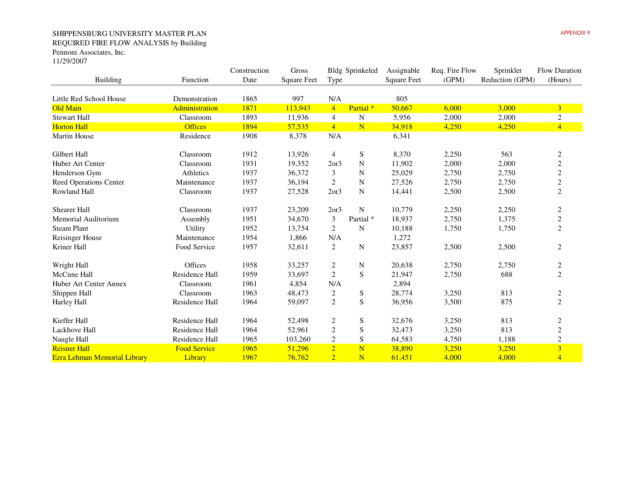## SHIPPENSBURG UNIVERSITY MASTER PLANREQUIRED FIRE FLOW ANALYSIS by BuildingPennoni Associates, Inc.11/29/2007

|                                     |                     | Construction | Gross              | Bldg Sprinkeled  |                      | Assignable         | Req. Fire Flow | Sprinkler       | <b>Flow Duration</b> |
|-------------------------------------|---------------------|--------------|--------------------|------------------|----------------------|--------------------|----------------|-----------------|----------------------|
| <b>Building</b>                     | Function            | Date         | <b>Square Feet</b> | Type             |                      | <b>Square Feet</b> | (GPM)          | Reduction (GPM) | (Hours)              |
| Little Red School House             | Demonstration       | 1865         | 997                | N/A              |                      | 805                |                |                 |                      |
| Old Main                            | Administration      | 1871         | 113,943            | $\overline{4}$   | Partial <sup>*</sup> | 50,667             | 6,000          | 3,000           | $\overline{3}$       |
| <b>Stewart Hall</b>                 | Classroom           | 1893         | 11,936             | $\overline{4}$   | ${\bf N}$            | 5,956              | 2,000          | 2,000           | $\sqrt{2}$           |
| <b>Horton Hall</b>                  | <b>Offices</b>      | 1894         | 57,535             | $\overline{4}$   | N                    | 34,918             | 4,250          | 4,250           | $\overline{4}$       |
| Martin House                        | Residence           | 1908         | 8,378              | N/A              |                      | 6,341              |                |                 |                      |
| Gilbert Hall                        | Classroom           | 1912         | 13,926             | 4                | S                    | 8,370              | 2,250          | 563             | 2                    |
| Huber Art Center                    | Classroom           | 1931         | 19,352             | 2 <sub>or3</sub> | N                    | 11,902             | 2,000          | 2,000           | $\sqrt{2}$           |
| Henderson Gym                       | Athletics           | 1937         | 36,372             | 3                | N                    | 25,029             | 2,750          | 2,750           | $\sqrt{2}$           |
| Reed Operations Center              | Maintenance         | 1937         | 36,194             | $\overline{c}$   | N                    | 27,526             | 2,750          | 2,750           | $\sqrt{2}$           |
| Rowland Hall                        | Classroom           | 1937         | 27,528             | 2 <sub>or3</sub> | N                    | 14,441             | 2,500          | 2,500           | $\boldsymbol{2}$     |
| <b>Shearer Hall</b>                 | Classroom           | 1937         | 23,209             | 2 <sub>or3</sub> | N                    | 10,779             | 2,250          | 2,250           | $\sqrt{2}$           |
| <b>Memorial Auditorium</b>          | Assembly            | 1951         | 34,670             | 3                | Partial <sup>*</sup> | 18,937             | 2,750          | 1,375           | $\sqrt{2}$           |
| <b>Steam Plant</b>                  | Utility             | 1952         | 13,754             | $\overline{c}$   | N                    | 10,188             | 1,750          | 1,750           | 2                    |
| <b>Reisinger House</b>              | Maintenance         | 1954         | 1,866              | N/A              |                      | 1,272              |                |                 |                      |
| Kriner Hall                         | Food Service        | 1957         | 32,611             | $\overline{2}$   | N                    | 23,857             | 2,500          | 2,500           | $\overline{c}$       |
| Wright Hall                         | Offices             | 1958         | 33,257             | $\overline{c}$   | N                    | 20,638             | 2,750          | 2,750           | $\boldsymbol{2}$     |
| McCune Hall                         | Residence Hall      | 1959         | 33,697             | $\overline{2}$   | S                    | 21,947             | 2,750          | 688             | $\overline{2}$       |
| Huber Art Center Annex              | Classroom           | 1961         | 4,854              | N/A              |                      | 2,894              |                |                 |                      |
| Shippen Hall                        | Classroom           | 1963         | 48,473             | $\overline{c}$   | ${\bf S}$            | 28,774             | 3,250          | 813             | $\boldsymbol{2}$     |
| Harley Hall                         | Residence Hall      | 1964         | 59,097             | $\sqrt{2}$       | S                    | 36,956             | 3,500          | 875             | $\sqrt{2}$           |
| Kieffer Hall                        | Residence Hall      | 1964         | 52,498             | 2                | S                    | 32,676             | 3,250          | 813             | 2                    |
| Lackhove Hall                       | Residence Hall      | 1964         | 52,961             | $\overline{2}$   | S                    | 32,473             | 3,250          | 813             | $\boldsymbol{2}$     |
| Naugle Hall                         | Residence Hall      | 1965         | 103,260            | $\boldsymbol{2}$ | S                    | 64,583             | 4,750          | 1,188           | $\sqrt{2}$           |
| <b>Reisner Hall</b>                 | <b>Food Service</b> | 1965         | 51,296             | $\overline{2}$   | N                    | 38,890             | 3,250          | 3,250           | $\overline{3}$       |
| <b>Ezra Lehman Memorial Library</b> | Library             | 1967         | 76,762             | $\overline{2}$   | N                    | 61,451             | 4,000          | 4,000           | $\overline{4}$       |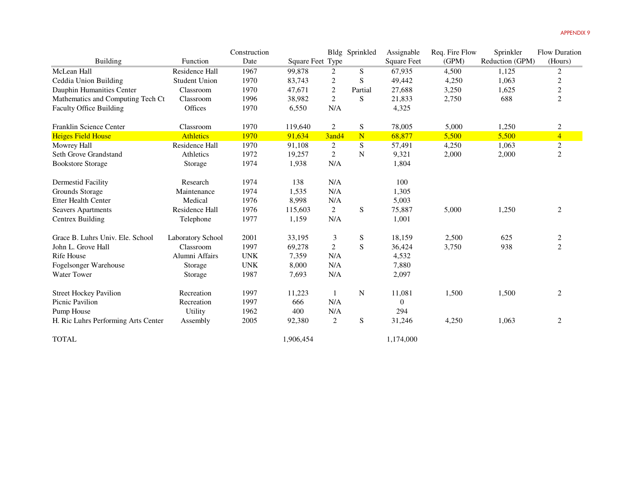|                                     |                      | Construction |                  |                  | Bldg Sprinkled          | Assignable         | Req. Fire Flow | Sprinkler       | Flow Duration    |
|-------------------------------------|----------------------|--------------|------------------|------------------|-------------------------|--------------------|----------------|-----------------|------------------|
| <b>Building</b>                     | Function             | Date         | Square Feet Type |                  |                         | <b>Square Feet</b> | (GPM)          | Reduction (GPM) | (Hours)          |
| McLean Hall                         | Residence Hall       | 1967         | 99,878           | $\boldsymbol{2}$ | S                       | 67,935             | 4,500          | 1,125           | $\overline{c}$   |
| Ceddia Union Building               | <b>Student Union</b> | 1970         | 83,743           | $\sqrt{2}$       | S                       | 49,442             | 4,250          | 1,063           | $\overline{c}$   |
| Dauphin Humanities Center           | Classroom            | 1970         | 47,671           | 2                | Partial                 | 27,688             | 3,250          | 1,625           | $\boldsymbol{2}$ |
| Mathematics and Computing Tech Ct   | Classroom            | 1996         | 38,982           | $\overline{2}$   | S                       | 21,833             | 2,750          | 688             | $\overline{c}$   |
| <b>Faculty Office Building</b>      | Offices              | 1970         | 6,550            | N/A              |                         | 4,325              |                |                 |                  |
| Franklin Science Center             | Classroom            | 1970         | 119,640          | 2                | ${\bf S}$               | 78,005             | 5,000          | 1,250           | $\boldsymbol{2}$ |
| <b>Heiges Field House</b>           | <b>Athletics</b>     | 1970         | 91,634           | 3and4            | $\overline{\mathbf{N}}$ | 68,877             | 5,500          | 5,500           | $\overline{4}$   |
| Mowrey Hall                         | Residence Hall       | 1970         | 91,108           | $\boldsymbol{2}$ | ${\bf S}$               | 57,491             | 4,250          | 1,063           | $\boldsymbol{2}$ |
| Seth Grove Grandstand               | Athletics            | 1972         | 19,257           | $\mathbf{2}$     | $\mathbf N$             | 9,321              | 2,000          | 2,000           | $\overline{c}$   |
| <b>Bookstore Storage</b>            | Storage              | 1974         | 1,938            | N/A              |                         | 1,804              |                |                 |                  |
| <b>Dermestid Facility</b>           | Research             | 1974         | 138              | N/A              |                         | 100                |                |                 |                  |
| Grounds Storage                     | Maintenance          | 1974         | 1,535            | N/A              |                         | 1,305              |                |                 |                  |
| <b>Etter Health Center</b>          | Medical              | 1976         | 8,998            | N/A              |                         | 5,003              |                |                 |                  |
| <b>Seavers Apartments</b>           | Residence Hall       | 1976         | 115,603          | 2                | S                       | 75,887             | 5,000          | 1,250           | $\overline{c}$   |
| Centrex Building                    | Telephone            | 1977         | 1,159            | N/A              |                         | 1,001              |                |                 |                  |
| Grace B. Luhrs Univ. Ele. School    | Laboratory School    | 2001         | 33,195           | 3                | S                       | 18,159             | 2,500          | 625             | $\overline{c}$   |
| John L. Grove Hall                  | Classroom            | 1997         | 69,278           | 2                | S                       | 36,424             | 3,750          | 938             | $\overline{2}$   |
| <b>Rife House</b>                   | Alumni Affairs       | <b>UNK</b>   | 7,359            | N/A              |                         | 4,532              |                |                 |                  |
| Fogelsonger Warehouse               | Storage              | <b>UNK</b>   | 8,000            | N/A              |                         | 7,880              |                |                 |                  |
| <b>Water Tower</b>                  | Storage              | 1987         | 7,693            | N/A              |                         | 2,097              |                |                 |                  |
| <b>Street Hockey Pavilion</b>       | Recreation           | 1997         | 11,223           |                  | N                       | 11,081             | 1,500          | 1,500           | $\overline{c}$   |
| Picnic Pavilion                     | Recreation           | 1997         | 666              | N/A              |                         | $\overline{0}$     |                |                 |                  |
| Pump House                          | Utility              | 1962         | 400              | N/A              |                         | 294                |                |                 |                  |
| H. Ric Luhrs Performing Arts Center | Assembly             | 2005         | 92,380           | 2                | S                       | 31,246             | 4,250          | 1,063           | $\mathbf{2}$     |
| <b>TOTAL</b>                        |                      |              | 1,906,454        |                  |                         | 1,174,000          |                |                 |                  |